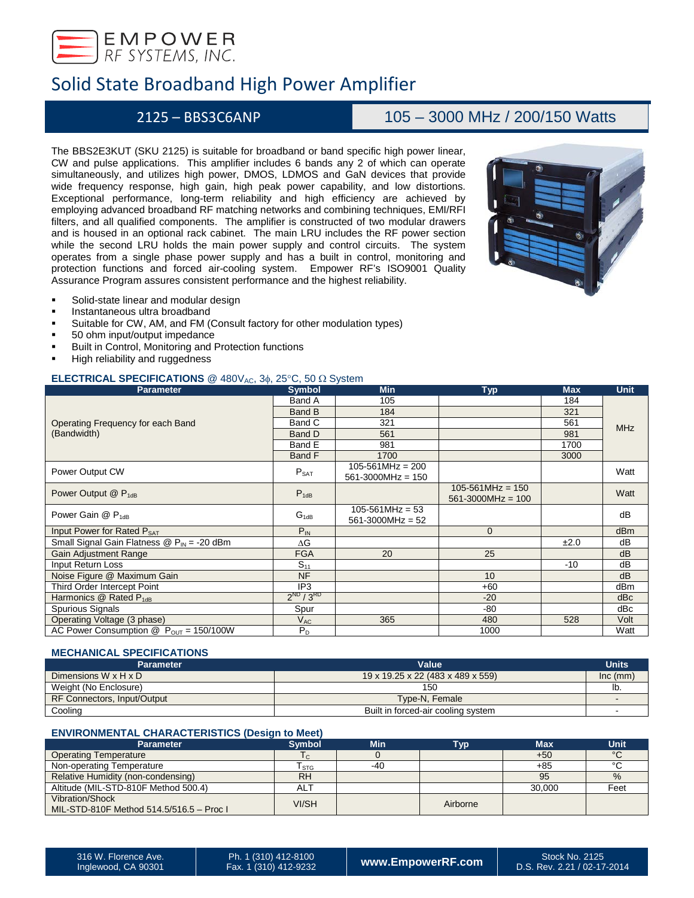

## 2125 – BBS3C6ANP 105 – 3000 MHz / 200/150 Watts

The BBS2E3KUT (SKU 2125) is suitable for broadband or band specific high power linear, CW and pulse applications. This amplifier includes 6 bands any 2 of which can operate simultaneously, and utilizes high power, DMOS, LDMOS and GaN devices that provide wide frequency response, high gain, high peak power capability, and low distortions. Exceptional performance, long-term reliability and high efficiency are achieved by employing advanced broadband RF matching networks and combining techniques, EMI/RFI filters, and all qualified components. The amplifier is constructed of two modular drawers and is housed in an optional rack cabinet. The main LRU includes the RF power section while the second LRU holds the main power supply and control circuits. The system operates from a single phase power supply and has a built in control, monitoring and protection functions and forced air-cooling system. Empower RF's ISO9001 Quality Assurance Program assures consistent performance and the highest reliability.



- Solid-state linear and modular design
- Instantaneous ultra broadband
- Suitable for CW, AM, and FM (Consult factory for other modulation types)
- 50 ohm input/output impedance
- Built in Control, Monitoring and Protection functions
- High reliability and ruggedness

### **ELECTRICAL SPECIFICATIONS** @ 480V<sub>AC</sub>, 3φ, 25°C, 50 Ω System

| <b>Parameter</b>                                                   | <b>Symbol</b>   | <b>Min</b>                                      | <b>Typ</b>                                      | <b>Max</b> | <b>Unit</b>     |
|--------------------------------------------------------------------|-----------------|-------------------------------------------------|-------------------------------------------------|------------|-----------------|
|                                                                    | Band A          | 105                                             |                                                 | 184        |                 |
|                                                                    | <b>Band B</b>   | 184                                             |                                                 | 321        |                 |
| Operating Frequency for each Band                                  | Band C          | 321                                             |                                                 | 561        | <b>MHz</b>      |
| (Bandwidth)                                                        | Band D          | 561                                             |                                                 | 981        |                 |
|                                                                    | Band E          | 981                                             |                                                 | 1700       |                 |
|                                                                    | Band F          | 1700                                            |                                                 | 3000       |                 |
| Power Output CW                                                    | $P_{SAT}$       | $105 - 561 MHz = 200$<br>$561 - 3000$ MHz = 150 |                                                 |            | Watt            |
| Power Output $@$ $P_{1dB}$                                         | $P_{1dB}$       |                                                 | $105 - 561$ MHz = 150<br>$561 - 3000 MHz = 100$ |            | Watt            |
| Power Gain $@$ $P_{1dB}$                                           | $G_{1dB}$       | $105 - 561 MHz = 53$<br>$561 - 3000$ MHz = 52   |                                                 |            | dB              |
| Input Power for Rated P <sub>SAT</sub>                             | $P_{IN}$        |                                                 | $\mathbf{0}$                                    |            | dB <sub>m</sub> |
| Small Signal Gain Flatness $\circledR$ P <sub>IN</sub> = -20 dBm   | ΔG              |                                                 |                                                 | ±2.0       | dB              |
| <b>Gain Adjustment Range</b>                                       | <b>FGA</b>      | 20                                              | 25                                              |            | dB              |
| Input Return Loss                                                  | $S_{11}$        |                                                 |                                                 | $-10$      | dB              |
| Noise Figure @ Maximum Gain                                        | <b>NF</b>       |                                                 | 10                                              |            | dB              |
| Third Order Intercept Point                                        | IP <sub>3</sub> |                                                 | $+60$                                           |            | dBm             |
| Harmonics $@$ Rated $P_{1dB}$                                      | $2^{ND}/3^{RD}$ |                                                 | $-20$                                           |            | dBc             |
| Spurious Signals                                                   | Spur            |                                                 | -80                                             |            | dBc             |
| Operating Voltage (3 phase)                                        | $V_{AC}$        | 365                                             | 480                                             | 528        | Volt            |
| AC Power Consumption $\textcircled{2}$ P <sub>OUT</sub> = 150/100W | $P_D$           |                                                 | 1000                                            |            | Watt            |

### **MECHANICAL SPECIFICATIONS**

| <b>Parameter</b>            | Value                              | <b>Units</b> |
|-----------------------------|------------------------------------|--------------|
| Dimensions W x H x D        | 19 x 19.25 x 22 (483 x 489 x 559)  | Inc (mm)     |
| Weight (No Enclosure)       | 150                                | ID           |
| RF Connectors, Input/Output | Type-N. Female                     |              |
| Cooling                     | Built in forced-air cooling system |              |

### **ENVIRONMENTAL CHARACTERISTICS (Design to Meet)**

| <b>Parameter</b>                                            | Symbol.    | Min | <b>Typ</b> | <b>Max</b> | <b>Unit</b> |
|-------------------------------------------------------------|------------|-----|------------|------------|-------------|
| <b>Operating Temperature</b>                                |            |     |            | $+50$      | $\circ$     |
| Non-operating Temperature                                   | l STG      | -40 |            | $+85$      |             |
| Relative Humidity (non-condensing)                          | <b>RH</b>  |     |            | 95         | $\%$        |
| Altitude (MIL-STD-810F Method 500.4)                        | <b>ALT</b> |     |            | 30.000     | Feet        |
| Vibration/Shock<br>MIL-STD-810F Method 514.5/516.5 - Proc I | VI/SH      |     | Airborne   |            |             |

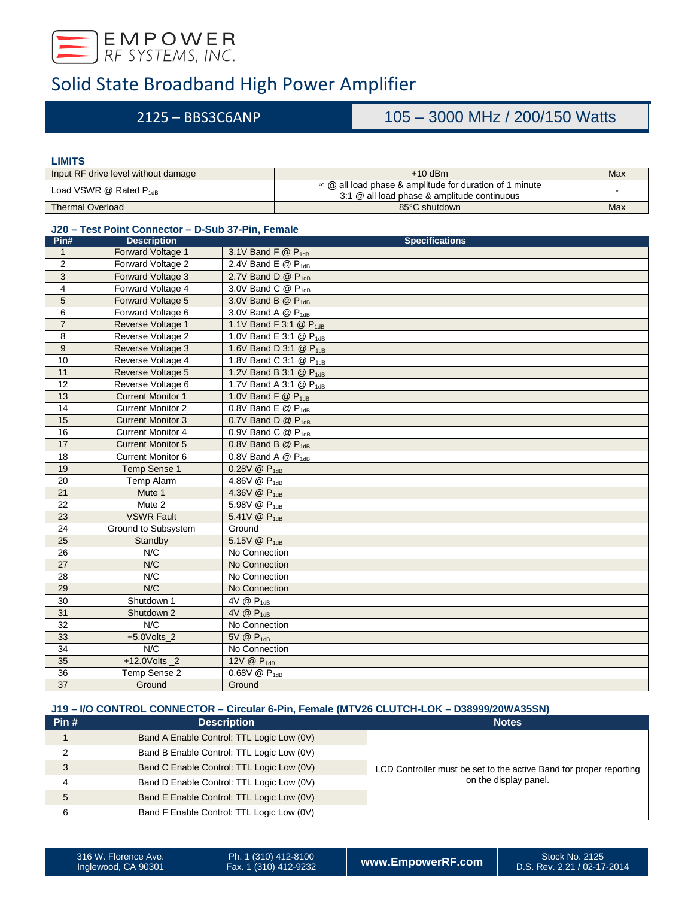

## 2125 – BBS3C6ANP 105 – 3000 MHz / 200/150 Watts

### **LIMITS**

| Input RF drive level without damage | $+10$ dBm                                                                                              | Max |
|-------------------------------------|--------------------------------------------------------------------------------------------------------|-----|
| Load VSWR $@$ Rated $P_{1dB}$       | ∞ @ all load phase & amplitude for duration of 1 minute<br>3:1 @ all load phase & amplitude continuous |     |
| <b>Thermal Overload</b>             | 85°C shutdown                                                                                          | Max |

### **J20 – Test Point Connector – D-Sub 37-Pin, Female**

| Pin#            | <b>Description</b>       | <b>Specifications</b>                                  |
|-----------------|--------------------------|--------------------------------------------------------|
| $\mathbf{1}$    | Forward Voltage 1        | 3.1V Band F $@$ $P_{1dB}$                              |
| $\overline{2}$  | Forward Voltage 2        | 2.4V Band E $@$ $P_{1dB}$                              |
| 3               | Forward Voltage 3        | 2.7V Band D $@$ $P_{1dB}$                              |
| $\overline{4}$  | Forward Voltage 4        | 3.0V Band C $@$ $P_{1dB}$                              |
| 5               | Forward Voltage 5        | 3.0V Band B $@$ $P_{1dB}$                              |
| 6               | Forward Voltage 6        | 3.0V Band A $@P_{1dB}$                                 |
| $\overline{7}$  | Reverse Voltage 1        | 1.1V Band F 3:1 @ P <sub>1dB</sub>                     |
| 8               | Reverse Voltage 2        | 1.0V Band E 3:1 @ P <sub>1dB</sub>                     |
| 9               | Reverse Voltage 3        | 1.6V Band D 3.1 @ P <sub>1dB</sub>                     |
| 10              | Reverse Voltage 4        | 1.8V Band C 3:1 @ P <sub>1dB</sub>                     |
| 11              | Reverse Voltage 5        | 1.2V Band B 3:1 @ P <sub>1dB</sub>                     |
| 12              | Reverse Voltage 6        | 1.7V Band A 3:1 @ P <sub>1dB</sub>                     |
| 13              | <b>Current Monitor 1</b> | 1.0V Band $F \circledR P_{1dB}$                        |
| 14              | <b>Current Monitor 2</b> | 0.8V Band E $@$ P <sub>1dB</sub>                       |
| 15              | <b>Current Monitor 3</b> | 0.7V Band D $@$ $P_{1dB}$                              |
| 16              | <b>Current Monitor 4</b> | 0.9V Band C @ P <sub>1dB</sub>                         |
| 17              | <b>Current Monitor 5</b> | 0.8V Band B $@$ $P_{1dB}$                              |
| 18              | <b>Current Monitor 6</b> | 0.8V Band A @ P <sub>1dB</sub>                         |
| 19              | Temp Sense 1             | 0.28V @ P <sub>1dB</sub>                               |
| 20              | Temp Alarm               | 4.86V @ P <sub>1dB</sub>                               |
| 21              | Mute 1                   | 4.36V @ P <sub>1dB</sub>                               |
| 22              | Mute 2                   | 5.98V @ P <sub>1dB</sub>                               |
| 23              | <b>VSWR Fault</b>        | 5.41V @ P <sub>1dB</sub>                               |
| 24              | Ground to Subsystem      | Ground                                                 |
| 25              | Standby                  | 5.15V @ P <sub>1dB</sub>                               |
| 26              | N/C                      | No Connection                                          |
| $\overline{27}$ | N/C                      | No Connection                                          |
| 28              | N/C                      | No Connection                                          |
| 29              | N/C                      | No Connection                                          |
| 30              | Shutdown 1               | 4V @ P <sub>1dB</sub>                                  |
| 31              | Shutdown 2               | $4V \circledR P_{1dB}$                                 |
| 32              | N/C                      | No Connection                                          |
| 33              | $+5.0$ Volts 2           | 5V @ P <sub>1dB</sub>                                  |
| 34              | N/C                      | No Connection                                          |
| 35              | $+12.0$ Volts 2          | 12V @ P <sub>1dB</sub>                                 |
| 36              | Temp Sense 2             | $\overline{0.68V}$ $\overline{Q}$ $\overline{P}_{1dB}$ |
| 37              | Ground                   | Ground                                                 |

### **J19 – I/O CONTROL CONNECTOR – Circular 6-Pin, Female (MTV26 CLUTCH-LOK – D38999/20WA35SN)**

| Pin# | <b>Description</b>                        | <b>Notes</b>                                                       |  |  |
|------|-------------------------------------------|--------------------------------------------------------------------|--|--|
|      | Band A Enable Control: TTL Logic Low (0V) |                                                                    |  |  |
|      | Band B Enable Control: TTL Logic Low (0V) |                                                                    |  |  |
| 3    | Band C Enable Control: TTL Logic Low (0V) | LCD Controller must be set to the active Band for proper reporting |  |  |
|      | Band D Enable Control: TTL Logic Low (0V) | on the display panel.                                              |  |  |
| 5    | Band E Enable Control: TTL Logic Low (0V) |                                                                    |  |  |
| 6    | Band F Enable Control: TTL Logic Low (0V) |                                                                    |  |  |

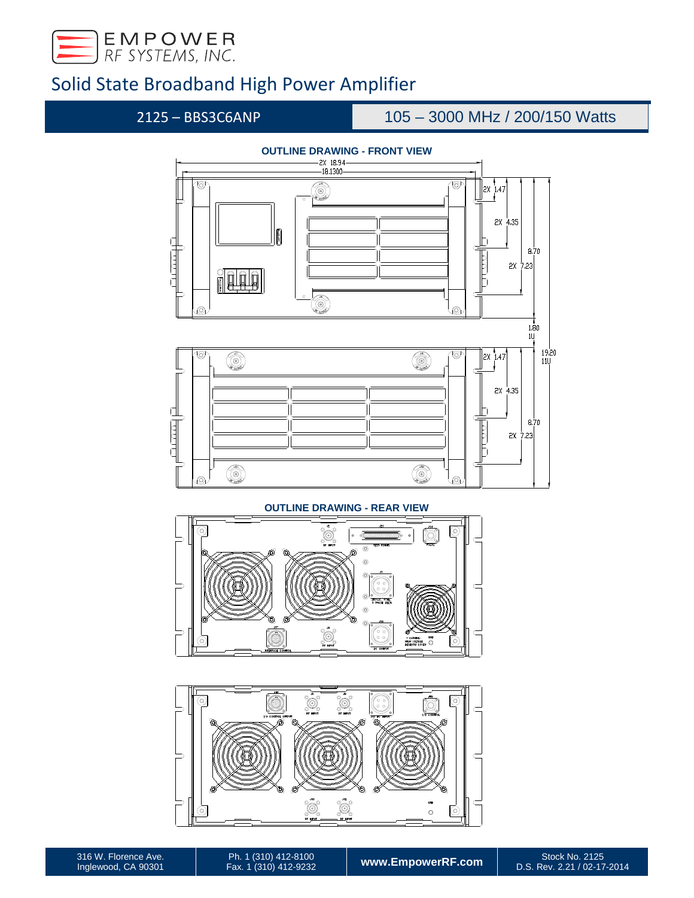

## 2125 – BBS3C6ANP 105 – 3000 MHz / 200/150 Watts



Ó Ő  $\circled{6}$ ō ۰

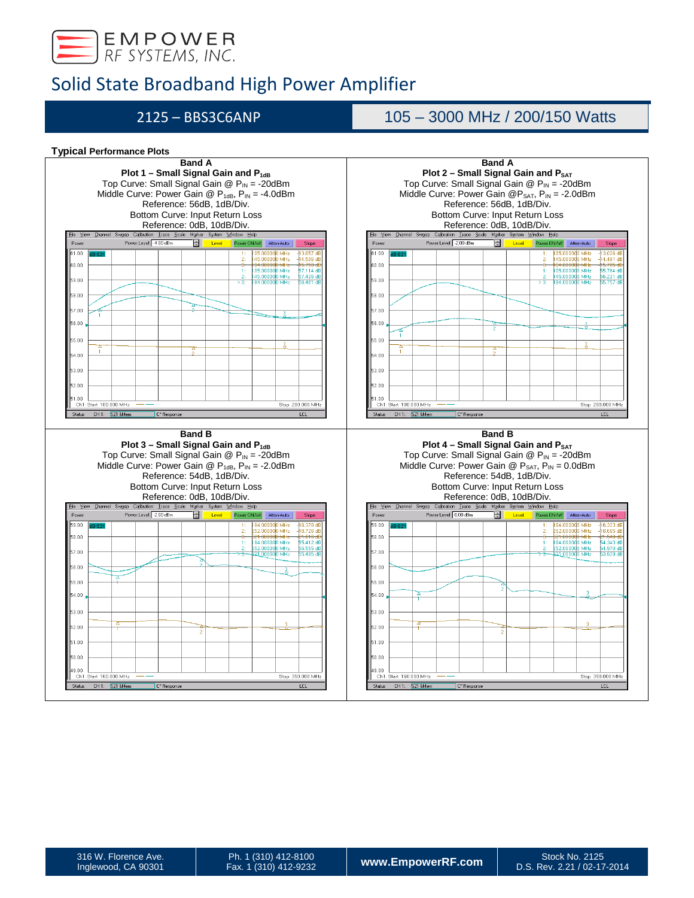

## 2125 – BBS3C6ANP 105 – 3000 MHz / 200/150 Watts

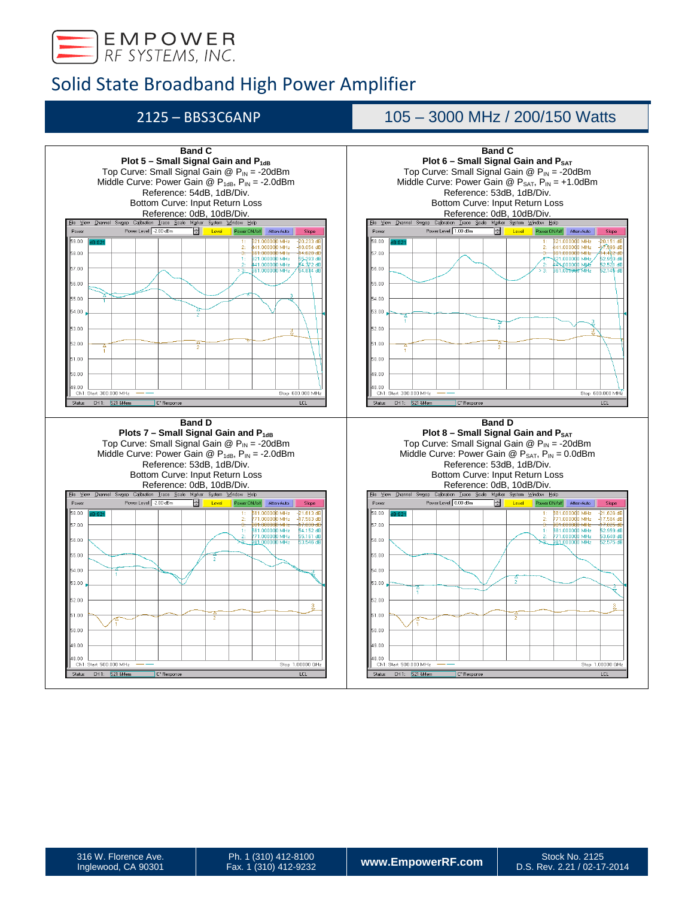

## 2125 – BBS3C6ANP 105 – 3000 MHz / 200/150 Watts